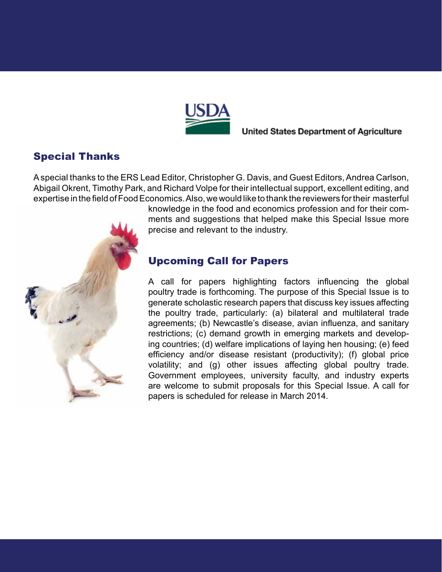

**United States Department of Agriculture** 

## Special Thanks

A special thanks to the ERS Lead Editor, Christopher G. Davis, and Guest Editors, Andrea Carlson, Abigail Okrent, Timothy Park, and Richard Volpe for their intellectual support, excellent editing, and expertise in the field of Food Economics. Also, we would like to thank the reviewers for their masterful



knowledge in the food and economics profession and for their comments and suggestions that helped make this Special Issue more precise and relevant to the industry.

## Upcoming Call for Papers

A call for papers highlighting factors influencing the global poultry trade is forthcoming. The purpose of this Special Issue is to generate scholastic research papers that discuss key issues affecting the poultry trade, particularly: (a) bilateral and multilateral trade agreements; (b) Newcastle's disease, avian influenza, and sanitary restrictions; (c) demand growth in emerging markets and developing countries; (d) welfare implications of laying hen housing; (e) feed efficiency and/or disease resistant (productivity); (f) global price volatility; and (g) other issues affecting global poultry trade. Government employees, university faculty, and industry experts are welcome to submit proposals for this Special Issue. A call for papers is scheduled for release in March 2014.